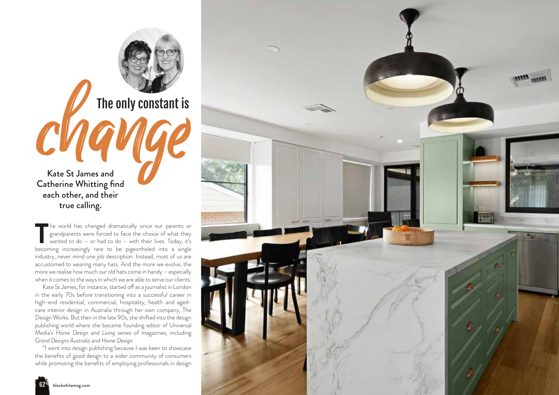Kate St James and Catherine Whitting find each other, and their true calling. The only constant is<br>
Change only Constant is<br>
Catherine Whitting find

The world has changed dramatically since our parents or grandparents were forced to face the choice of what they wanted to do – or had to do – with their lives. Today, it's becoming increasingly rare to be pigeonholed into he world has changed dramatically since our parents or grandparents were forced to face the choice of what they wanted to do – or had to do – with their lives. Today, it's industry, never mind one job description. Instead, most of us are accustomed to wearing many hats. And the more we evolve, the more we realise how much our old hats come in handy – especially when it comes to the ways in which we are able to serve our clients.

The only constant is

Kate St James, for instance, started off as a journalist in London in the early 70s before transitioning into a successful career in high-end residential, commercial, hospitality, health and agedcare interior design in Australia through her own company, The Design Works. But then in the late 90s, she shifted into the design publishing world where she became founding editor of Universal Media's *Home Design and Living* series of magazines, including *Grand Designs Australia* and *Home Design*.

"I went into design publishing because I was keen to showcase the benefits of good design to a wider community of consumers while promoting the benefits of employing professionals in design

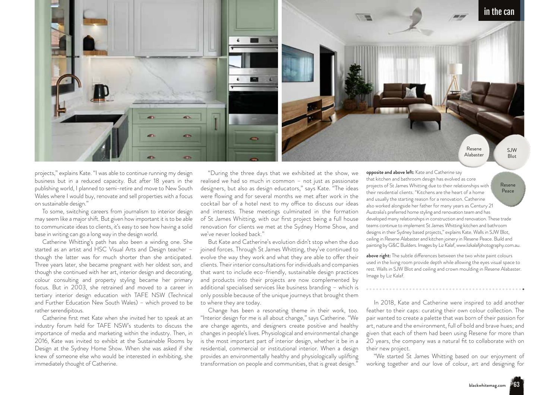

projects," explains Kate. "I was able to continue running my design business but in a reduced capacity. But after 18 years in the publishing world, I planned to semi-retire and move to New South Wales where I would buy, renovate and sell properties with a focus on sustainable design."

To some, switching careers from journalism to interior design may seem like a major shift. But given how important it is to be able to communicate ideas to clients, it's easy to see how having a solid base in writing can go a long way in the design world.

Catherine Whitting's path has also been a winding one. She started as an artist and HSC Visual Arts and Design teacher – though the latter was for much shorter than she anticipated. Three years later, she became pregnant with her oldest son, and though she continued with her art, interior design and decorating, colour consulting and property styling became her primary focus. But in 2003, she retrained and moved to a career in tertiary interior design education with TAFE NSW (Technical and Further Education New South Wales) – which proved to be rather serendipitous.

Catherine first met Kate when she invited her to speak at an industry forum held for TAFE NSW's students to discuss the importance of media and marketing within the industry. Then, in 2016, Kate was invited to exhibit at the Sustainable Rooms by Design at the Sydney Home Show. When she was asked if she knew of someone else who would be interested in exhibiting, she immediately thought of Catherine.

"During the three days that we exhibited at the show, we realised we had so much in common – not just as passionate designers, but also as design educators," says Kate. "The ideas were flowing and for several months we met after work in the cocktail bar of a hotel next to my office to discuss our ideas and interests. These meetings culminated in the formation of St James Whitting, with our first project being a full house renovation for clients we met at the Sydney Home Show, and we've never looked back."

But Kate and Catherine's evolution didn't stop when the duo joined forces. Through St James Whitting, they've continued to evolve the way they work and what they are able to offer their clients. Their interior consultations for individuals and companies that want to include eco-friendly, sustainable design practices and products into their projects are now complemented by additional specialised services like business branding – which is only possible because of the unique journeys that brought them to where they are today.

Change has been a resonating theme in their work, too. "Interior design for me is all about change," says Catherine. "We are change agents, and designers create positive and healthy changes in people's lives. Physiological and environmental change is the most important part of interior design, whether it be in a residential, commercial or institutional interior. When a design provides an environmentally healthy and physiologically uplifting transformation on people and communities, that is great design.'

opposite and above left: Kate and Catherine say that kitchen and bathroom design has evolved as core projects of St James Whitting due to their relationships with their residential clients. "Kitchens are the heart of a home and usually the starting reason for a renovation. Catherine also worked alongside her father for many years as Century 21 Australia's preferred home styling and renovation team and has developed many relationships in construction and renovation. These trade teams continue to implement St James Whitting kitchen and bathroom designs in their Sydney based projects," explains Kate. Walls in SJW Blot, ceiling in Resene Alabaster and kitchen joinery in Resene Peace. Build and painting by G&C Builders. Images by Liz Kalaf, www.lizkalafphotography.com.au. Resene Peace

above right: The subtle differences between the two white paint colours used in the living room provide depth while allowing the eyes visual space to rest. Walls in SJW Blot and ceiling and crown moulding in Resene Alabaster. Image by Liz Kalaf.

In 2018, Kate and Catherine were inspired to add another feather to their caps: curating their own colour collection. The pair wanted to create a palette that was born of their passion for art, nature and the environment, full of bold and brave hues; and given that each of them had been using Resene for more than 20 years, the company was a natural fit to collaborate with on their new project.

"We started St James Whitting based on our enjoyment of working together and our love of colour, art and designing for